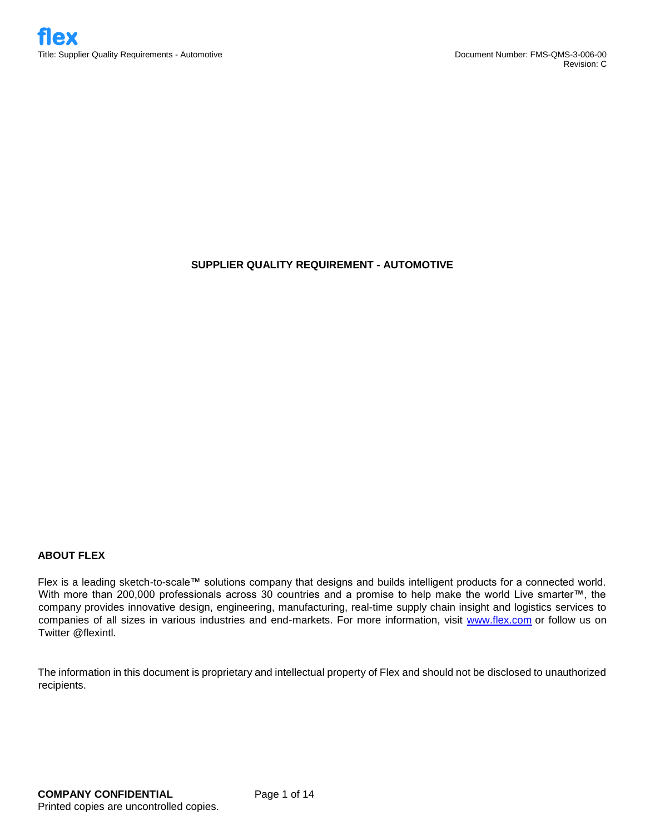## **SUPPLIER QUALITY REQUIREMENT - AUTOMOTIVE**

## **ABOUT FLEX**

Flex is a leading sketch-to-scale™ solutions company that designs and builds intelligent products for a connected world. With more than 200,000 professionals across 30 countries and a promise to help make the world Live smarter™, the company provides innovative design, engineering, manufacturing, real-time supply chain insight and logistics services to companies of all sizes in various industries and end-markets. For more information, visit [www.flex.com](http://www.flex.com/) or follow us on Twitter @flexintl.

The information in this document is proprietary and intellectual property of Flex and should not be disclosed to unauthorized recipients.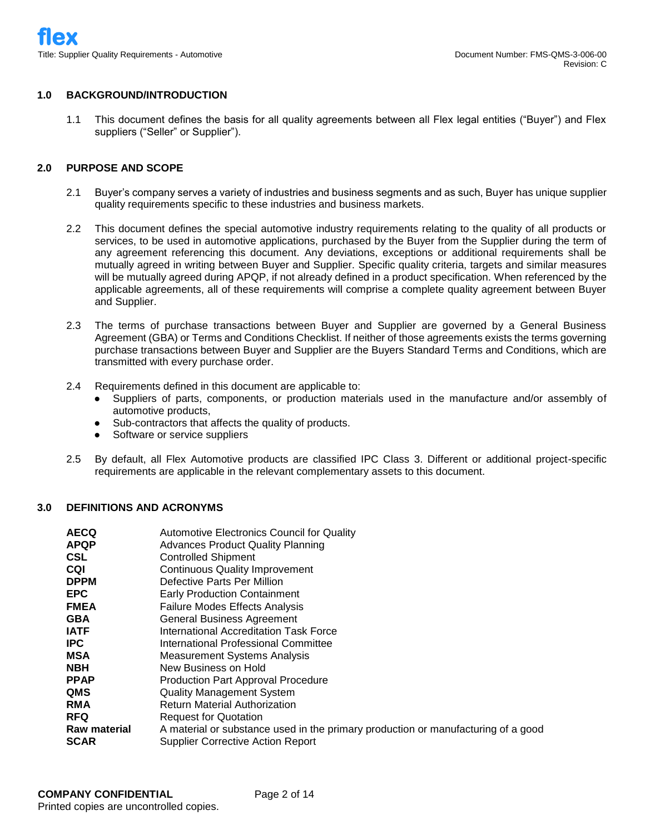## **1.0 BACKGROUND/INTRODUCTION**

1.1 This document defines the basis for all quality agreements between all Flex legal entities ("Buyer") and Flex suppliers ("Seller" or Supplier").

## **2.0 PURPOSE AND SCOPE**

- 2.1 Buyer's company serves a variety of industries and business segments and as such, Buyer has unique supplier quality requirements specific to these industries and business markets.
- 2.2 This document defines the special automotive industry requirements relating to the quality of all products or services, to be used in automotive applications, purchased by the Buyer from the Supplier during the term of any agreement referencing this document. Any deviations, exceptions or additional requirements shall be mutually agreed in writing between Buyer and Supplier. Specific quality criteria, targets and similar measures will be mutually agreed during APQP, if not already defined in a product specification. When referenced by the applicable agreements, all of these requirements will comprise a complete quality agreement between Buyer and Supplier.
- 2.3 The terms of purchase transactions between Buyer and Supplier are governed by a General Business Agreement (GBA) or Terms and Conditions Checklist. If neither of those agreements exists the terms governing purchase transactions between Buyer and Supplier are the Buyers Standard Terms and Conditions, which are transmitted with every purchase order.
- 2.4 Requirements defined in this document are applicable to:
	- Suppliers of parts, components, or production materials used in the manufacture and/or assembly of automotive products,
	- Sub-contractors that affects the quality of products.
	- Software or service suppliers
- 2.5 By default, all Flex Automotive products are classified IPC Class 3. Different or additional project-specific requirements are applicable in the relevant complementary assets to this document.

#### **3.0 DEFINITIONS AND ACRONYMS**

| AECQ         | <b>Automotive Electronics Council for Quality</b>                                 |
|--------------|-----------------------------------------------------------------------------------|
| APQP         | <b>Advances Product Quality Planning</b>                                          |
| <b>CSL</b>   | <b>Controlled Shipment</b>                                                        |
| CQI          | <b>Continuous Quality Improvement</b>                                             |
| <b>DPPM</b>  | Defective Parts Per Million                                                       |
| EPC          | <b>Early Production Containment</b>                                               |
| FMEA         | Failure Modes Effects Analysis                                                    |
| GBA          | <b>General Business Agreement</b>                                                 |
| IATF         | International Accreditation Task Force                                            |
| <b>IPC</b>   | International Professional Committee                                              |
| <b>MSA</b>   | <b>Measurement Systems Analysis</b>                                               |
| NBH          | New Business on Hold                                                              |
| PPAP         | Production Part Approval Procedure                                                |
| QMS          | <b>Quality Management System</b>                                                  |
| RMA          | <b>Return Material Authorization</b>                                              |
| RFQ          | <b>Request for Quotation</b>                                                      |
| Raw material | A material or substance used in the primary production or manufacturing of a good |
| SCAR         | <b>Supplier Corrective Action Report</b>                                          |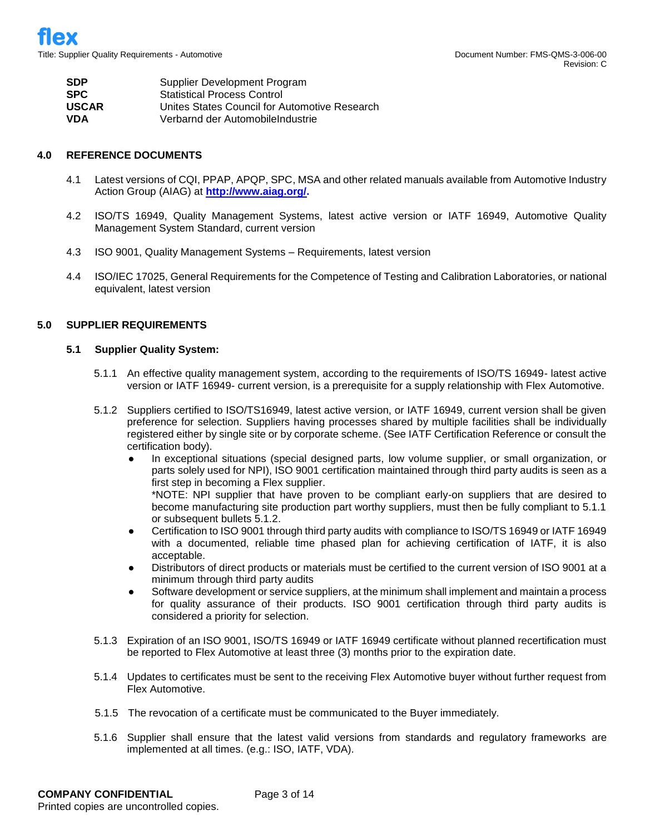| <b>SDP</b>   | Supplier Development Program                  |
|--------------|-----------------------------------------------|
| <b>SPC</b>   | <b>Statistical Process Control</b>            |
| <b>USCAR</b> | Unites States Council for Automotive Research |
| <b>VDA</b>   | Verbarnd der Automobile Industrie             |

#### **4.0 REFERENCE DOCUMENTS**

- 4.1 Latest versions of CQI, PPAP, APQP, SPC, MSA and other related manuals available from Automotive Industry Action Group (AIAG) at **[http://www.aiag.org/.](http://www.aiag.org/)**
- 4.2 ISO/TS 16949, Quality Management Systems, latest active version or IATF 16949, Automotive Quality Management System Standard, current version
- 4.3 ISO 9001, Quality Management Systems Requirements, latest version
- 4.4 ISO/IEC 17025, General Requirements for the Competence of Testing and Calibration Laboratories, or national equivalent, latest version

## **5.0 SUPPLIER REQUIREMENTS**

#### **5.1 Supplier Quality System:**

- 5.1.1 An effective quality management system, according to the requirements of ISO/TS 16949- latest active version or IATF 16949- current version, is a prerequisite for a supply relationship with Flex Automotive.
- 5.1.2 Suppliers certified to ISO/TS16949, latest active version, or IATF 16949, current version shall be given preference for selection. Suppliers having processes shared by multiple facilities shall be individually registered either by single site or by corporate scheme. (See IATF Certification Reference or consult the certification body).
	- In exceptional situations (special designed parts, low volume supplier, or small organization, or parts solely used for NPI), ISO 9001 certification maintained through third party audits is seen as a first step in becoming a Flex supplier.

\*NOTE: NPI supplier that have proven to be compliant early-on suppliers that are desired to become manufacturing site production part worthy suppliers, must then be fully compliant to 5.1.1 or subsequent bullets 5.1.2.

- Certification to ISO 9001 through third party audits with compliance to ISO/TS 16949 or IATF 16949 with a documented, reliable time phased plan for achieving certification of IATF, it is also acceptable.
- Distributors of direct products or materials must be certified to the current version of ISO 9001 at a minimum through third party audits
- Software development or service suppliers, at the minimum shall implement and maintain a process for quality assurance of their products. ISO 9001 certification through third party audits is considered a priority for selection.
- 5.1.3 Expiration of an ISO 9001, ISO/TS 16949 or IATF 16949 certificate without planned recertification must be reported to Flex Automotive at least three (3) months prior to the expiration date.
- 5.1.4 Updates to certificates must be sent to the receiving Flex Automotive buyer without further request from Flex Automotive.
- 5.1.5 The revocation of a certificate must be communicated to the Buyer immediately.
- 5.1.6 Supplier shall ensure that the latest valid versions from standards and regulatory frameworks are implemented at all times. (e.g.: ISO, IATF, VDA).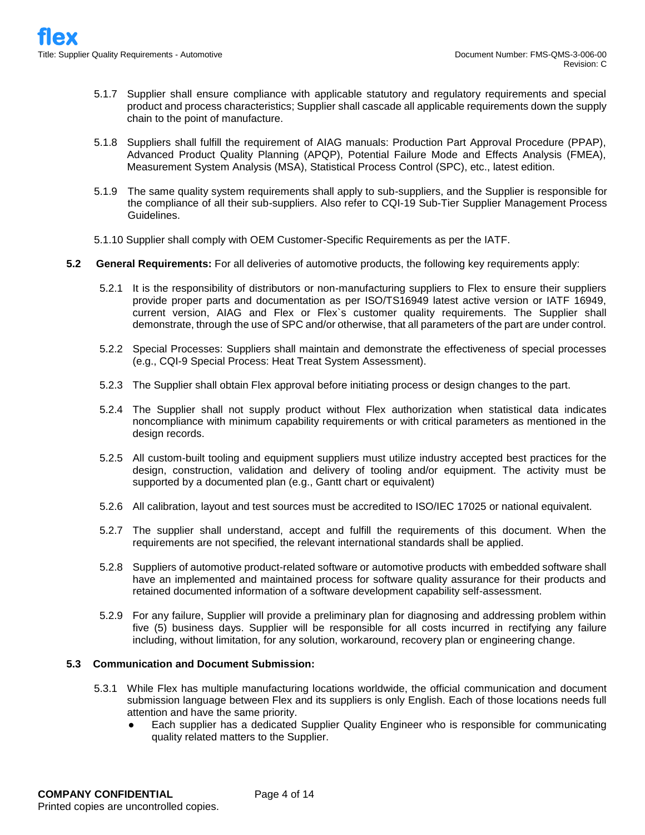- 5.1.7 Supplier shall ensure compliance with applicable statutory and regulatory requirements and special product and process characteristics; Supplier shall cascade all applicable requirements down the supply chain to the point of manufacture.
- 5.1.8 Suppliers shall fulfill the requirement of AIAG manuals: Production Part Approval Procedure (PPAP), Advanced Product Quality Planning (APQP), Potential Failure Mode and Effects Analysis (FMEA), Measurement System Analysis (MSA), Statistical Process Control (SPC), etc., latest edition.
- 5.1.9 The same quality system requirements shall apply to sub-suppliers, and the Supplier is responsible for the compliance of all their sub-suppliers. Also refer to CQI-19 Sub-Tier Supplier Management Process Guidelines.
- 5.1.10 Supplier shall comply with OEM Customer-Specific Requirements as per the IATF.
- **5.2 General Requirements:** For all deliveries of automotive products, the following key requirements apply:
	- 5.2.1 It is the responsibility of distributors or non-manufacturing suppliers to Flex to ensure their suppliers provide proper parts and documentation as per ISO/TS16949 latest active version or IATF 16949, current version, AIAG and Flex or Flex`s customer quality requirements. The Supplier shall demonstrate, through the use of SPC and/or otherwise, that all parameters of the part are under control.
	- 5.2.2 Special Processes: Suppliers shall maintain and demonstrate the effectiveness of special processes (e.g., CQI-9 Special Process: Heat Treat System Assessment).
	- 5.2.3 The Supplier shall obtain Flex approval before initiating process or design changes to the part.
	- 5.2.4 The Supplier shall not supply product without Flex authorization when statistical data indicates noncompliance with minimum capability requirements or with critical parameters as mentioned in the design records.
	- 5.2.5 All custom-built tooling and equipment suppliers must utilize industry accepted best practices for the design, construction, validation and delivery of tooling and/or equipment. The activity must be supported by a documented plan (e.g., Gantt chart or equivalent)
	- 5.2.6 All calibration, layout and test sources must be accredited to ISO/IEC 17025 or national equivalent.
	- 5.2.7 The supplier shall understand, accept and fulfill the requirements of this document. When the requirements are not specified, the relevant international standards shall be applied.
	- 5.2.8 Suppliers of automotive product-related software or automotive products with embedded software shall have an implemented and maintained process for software quality assurance for their products and retained documented information of a software development capability self-assessment.
	- 5.2.9 For any failure, Supplier will provide a preliminary plan for diagnosing and addressing problem within five (5) business days. Supplier will be responsible for all costs incurred in rectifying any failure including, without limitation, for any solution, workaround, recovery plan or engineering change.

## **5.3 Communication and Document Submission:**

- 5.3.1 While Flex has multiple manufacturing locations worldwide, the official communication and document submission language between Flex and its suppliers is only English. Each of those locations needs full attention and have the same priority.
	- Each supplier has a dedicated Supplier Quality Engineer who is responsible for communicating quality related matters to the Supplier.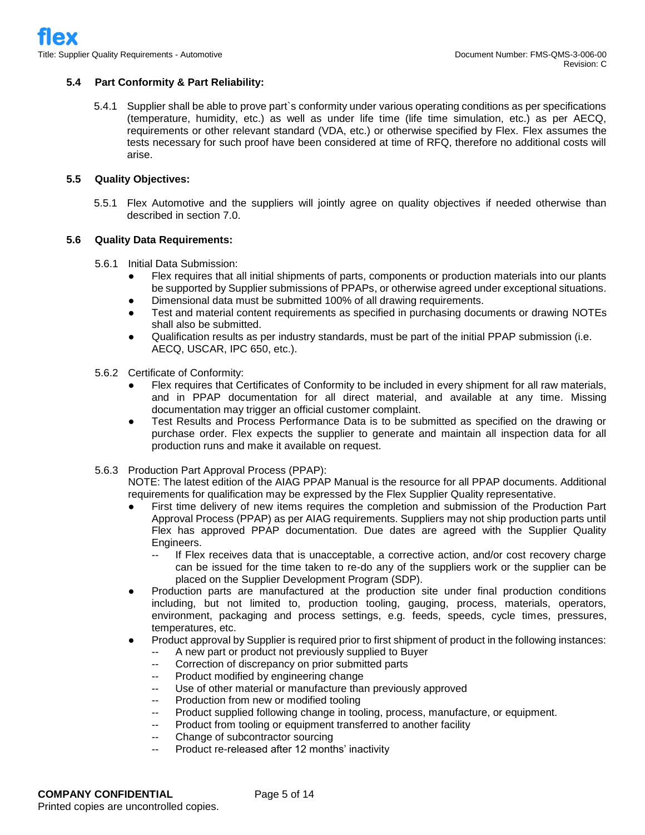## **5.4 Part Conformity & Part Reliability:**

5.4.1 Supplier shall be able to prove part`s conformity under various operating conditions as per specifications (temperature, humidity, etc.) as well as under life time (life time simulation, etc.) as per AECQ, requirements or other relevant standard (VDA, etc.) or otherwise specified by Flex. Flex assumes the tests necessary for such proof have been considered at time of RFQ, therefore no additional costs will arise.

#### **5.5 Quality Objectives:**

5.5.1 Flex Automotive and the suppliers will jointly agree on quality objectives if needed otherwise than described in section 7.0.

#### **5.6 Quality Data Requirements:**

- 5.6.1 Initial Data Submission:
	- Flex requires that all initial shipments of parts, components or production materials into our plants be supported by Supplier submissions of PPAPs, or otherwise agreed under exceptional situations.
	- Dimensional data must be submitted 100% of all drawing requirements.
	- Test and material content requirements as specified in purchasing documents or drawing NOTEs shall also be submitted.
	- Qualification results as per industry standards, must be part of the initial PPAP submission (i.e. AECQ, USCAR, IPC 650, etc.).
- 5.6.2 Certificate of Conformity:
	- Flex requires that Certificates of Conformity to be included in every shipment for all raw materials, and in PPAP documentation for all direct material, and available at any time. Missing documentation may trigger an official customer complaint.
	- Test Results and Process Performance Data is to be submitted as specified on the drawing or purchase order. Flex expects the supplier to generate and maintain all inspection data for all production runs and make it available on request.
- 5.6.3 Production Part Approval Process (PPAP):
	- NOTE: The latest edition of the AIAG PPAP Manual is the resource for all PPAP documents. Additional requirements for qualification may be expressed by the Flex Supplier Quality representative.
	- First time delivery of new items requires the completion and submission of the Production Part Approval Process (PPAP) as per AIAG requirements. Suppliers may not ship production parts until Flex has approved PPAP documentation. Due dates are agreed with the Supplier Quality Engineers.
		- If Flex receives data that is unacceptable, a corrective action, and/or cost recovery charge can be issued for the time taken to re-do any of the suppliers work or the supplier can be placed on the Supplier Development Program (SDP).
	- Production parts are manufactured at the production site under final production conditions including, but not limited to, production tooling, gauging, process, materials, operators, environment, packaging and process settings, e.g. feeds, speeds, cycle times, pressures, temperatures, etc.
	- Product approval by Supplier is required prior to first shipment of product in the following instances:
		- A new part or product not previously supplied to Buyer
		- -- Correction of discrepancy on prior submitted parts
		- -- Product modified by engineering change
		- -- Use of other material or manufacture than previously approved
		- Production from new or modified tooling
		- Product supplied following change in tooling, process, manufacture, or equipment.
		- Product from tooling or equipment transferred to another facility
		- -- Change of subcontractor sourcing
		- Product re-released after 12 months' inactivity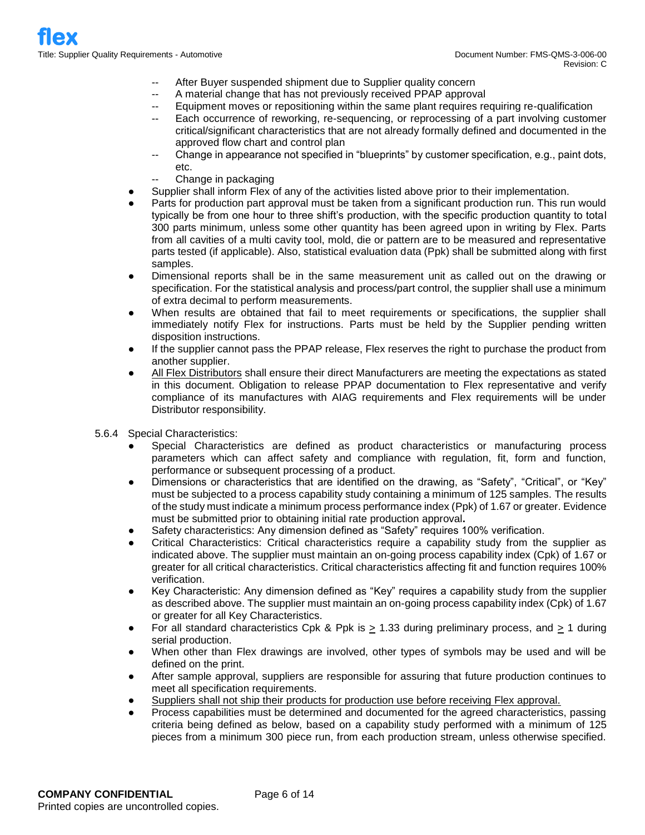- After Buyer suspended shipment due to Supplier quality concern
- A material change that has not previously received PPAP approval
- -- Equipment moves or repositioning within the same plant requires requiring re-qualification
	- Each occurrence of reworking, re-sequencing, or reprocessing of a part involving customer critical/significant characteristics that are not already formally defined and documented in the approved flow chart and control plan
	- Change in appearance not specified in "blueprints" by customer specification, e.g., paint dots, etc.
	- Change in packaging
- Supplier shall inform Flex of any of the activities listed above prior to their implementation.
- Parts for production part approval must be taken from a significant production run. This run would typically be from one hour to three shift's production, with the specific production quantity to total 300 parts minimum, unless some other quantity has been agreed upon in writing by Flex. Parts from all cavities of a multi cavity tool, mold, die or pattern are to be measured and representative parts tested (if applicable). Also, statistical evaluation data (Ppk) shall be submitted along with first samples.
- Dimensional reports shall be in the same measurement unit as called out on the drawing or specification. For the statistical analysis and process/part control, the supplier shall use a minimum of extra decimal to perform measurements.
- When results are obtained that fail to meet requirements or specifications, the supplier shall immediately notify Flex for instructions. Parts must be held by the Supplier pending written disposition instructions.
- If the supplier cannot pass the PPAP release, Flex reserves the right to purchase the product from another supplier.
- All Flex Distributors shall ensure their direct Manufacturers are meeting the expectations as stated in this document. Obligation to release PPAP documentation to Flex representative and verify compliance of its manufactures with AIAG requirements and Flex requirements will be under Distributor responsibility.
- 5.6.4 Special Characteristics:
	- Special Characteristics are defined as product characteristics or manufacturing process parameters which can affect safety and compliance with regulation, fit, form and function, performance or subsequent processing of a product.
	- Dimensions or characteristics that are identified on the drawing, as "Safety", "Critical", or "Key" must be subjected to a process capability study containing a minimum of 125 samples. The results of the study must indicate a minimum process performance index (Ppk) of 1.67 or greater. Evidence must be submitted prior to obtaining initial rate production approval**.**
	- Safety characteristics: Any dimension defined as "Safety" requires 100% verification.
	- Critical Characteristics: Critical characteristics require a capability study from the supplier as indicated above. The supplier must maintain an on-going process capability index (Cpk) of 1.67 or greater for all critical characteristics. Critical characteristics affecting fit and function requires 100% verification.
	- Key Characteristic: Any dimension defined as "Key" requires a capability study from the supplier as described above. The supplier must maintain an on-going process capability index (Cpk) of 1.67 or greater for all Key Characteristics.
	- For all standard characteristics Cpk & Ppk is > 1.33 during preliminary process, and > 1 during serial production.
	- When other than Flex drawings are involved, other types of symbols may be used and will be defined on the print.
	- After sample approval, suppliers are responsible for assuring that future production continues to meet all specification requirements.
	- Suppliers shall not ship their products for production use before receiving Flex approval.
	- Process capabilities must be determined and documented for the agreed characteristics, passing criteria being defined as below, based on a capability study performed with a minimum of 125 pieces from a minimum 300 piece run, from each production stream, unless otherwise specified.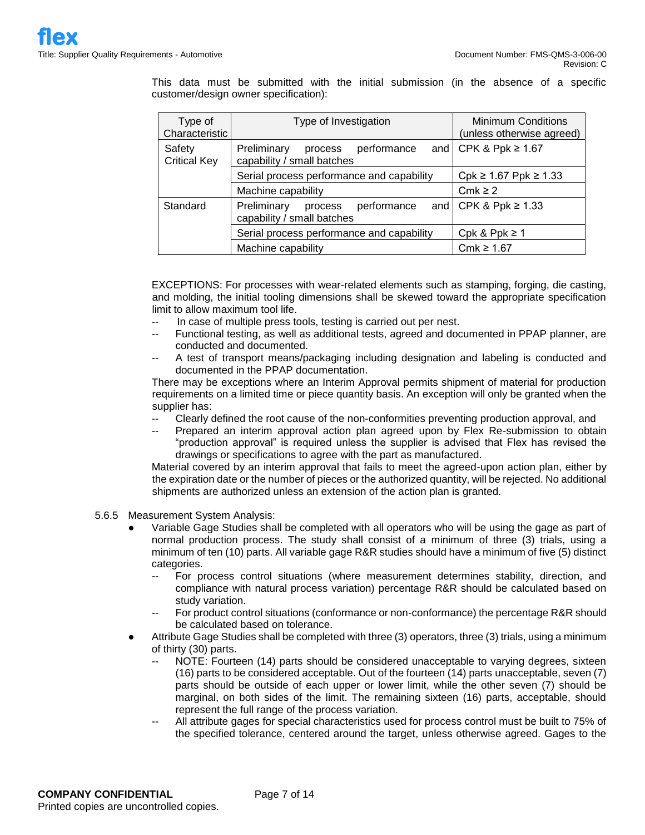This data must be submitted with the initial submission (in the absence of a specific customer/design owner specification):

| Type of<br>Characteristic     | Type of Investigation                                               | <b>Minimum Conditions</b><br>(unless otherwise agreed) |  |  |  |
|-------------------------------|---------------------------------------------------------------------|--------------------------------------------------------|--|--|--|
| Safety<br><b>Critical Key</b> | Preliminary<br>performance<br>process<br>capability / small batches | and $\overline{CPK}$ & Ppk $\geq 1.67$                 |  |  |  |
|                               | Serial process performance and capability                           | $Cpk$ ≥ 1.67 Ppk ≥ 1.33                                |  |  |  |
|                               | Machine capability                                                  | Cmk $\geq$ 2                                           |  |  |  |
| Standard                      | Preliminary<br>performance<br>process<br>capability / small batches | and $\textsf{CPK}$ & Ppk $\geq 1.33$                   |  |  |  |
|                               | Serial process performance and capability                           | Cpk & Ppk $\geq 1$                                     |  |  |  |
|                               | Machine capability                                                  | Cmk ≥ 1.67                                             |  |  |  |

EXCEPTIONS: For processes with wear-related elements such as stamping, forging, die casting, and molding, the initial tooling dimensions shall be skewed toward the appropriate specification limit to allow maximum tool life.

- In case of multiple press tools, testing is carried out per nest.
- Functional testing, as well as additional tests, agreed and documented in PPAP planner, are conducted and documented.
- -- A test of transport means/packaging including designation and labeling is conducted and documented in the PPAP documentation.

There may be exceptions where an Interim Approval permits shipment of material for production requirements on a limited time or piece quantity basis. An exception will only be granted when the supplier has:

- Clearly defined the root cause of the non-conformities preventing production approval, and
- -- Prepared an interim approval action plan agreed upon by Flex Re-submission to obtain "production approval" is required unless the supplier is advised that Flex has revised the drawings or specifications to agree with the part as manufactured.

Material covered by an interim approval that fails to meet the agreed-upon action plan, either by the expiration date or the number of pieces or the authorized quantity, will be rejected. No additional shipments are authorized unless an extension of the action plan is granted.

- 5.6.5 Measurement System Analysis:
	- Variable Gage Studies shall be completed with all operators who will be using the gage as part of normal production process. The study shall consist of a minimum of three (3) trials, using a minimum of ten (10) parts. All variable gage R&R studies should have a minimum of five (5) distinct categories.
		- -- For process control situations (where measurement determines stability, direction, and compliance with natural process variation) percentage R&R should be calculated based on study variation.
		- For product control situations (conformance or non-conformance) the percentage R&R should be calculated based on tolerance.
	- Attribute Gage Studies shall be completed with three (3) operators, three (3) trials, using a minimum of thirty (30) parts.
		- NOTE: Fourteen (14) parts should be considered unacceptable to varying degrees, sixteen (16) parts to be considered acceptable. Out of the fourteen (14) parts unacceptable, seven (7) parts should be outside of each upper or lower limit, while the other seven (7) should be marginal, on both sides of the limit. The remaining sixteen (16) parts, acceptable, should represent the full range of the process variation.
		- All attribute gages for special characteristics used for process control must be built to 75% of the specified tolerance, centered around the target, unless otherwise agreed. Gages to the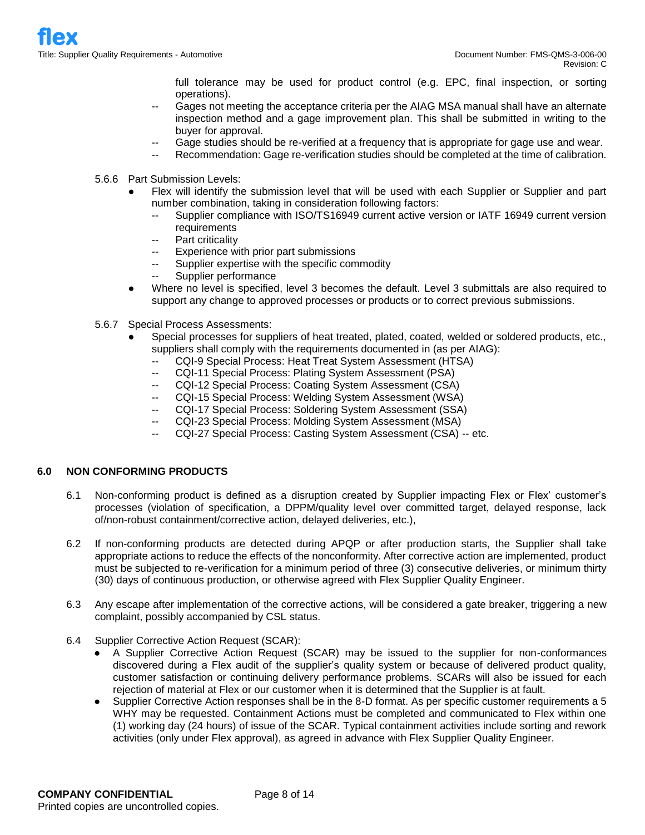full tolerance may be used for product control (e.g. EPC, final inspection, or sorting operations).

- Gages not meeting the acceptance criteria per the AIAG MSA manual shall have an alternate inspection method and a gage improvement plan. This shall be submitted in writing to the buyer for approval.
- Gage studies should be re-verified at a frequency that is appropriate for gage use and wear.
	- Recommendation: Gage re-verification studies should be completed at the time of calibration.
- 5.6.6 Part Submission Levels:
	- Flex will identify the submission level that will be used with each Supplier or Supplier and part number combination, taking in consideration following factors:
		- Supplier compliance with ISO/TS16949 current active version or IATF 16949 current version requirements
		- Part criticality
		- Experience with prior part submissions
		- -- Supplier expertise with the specific commodity
		- -- Supplier performance
	- Where no level is specified, level 3 becomes the default. Level 3 submittals are also required to support any change to approved processes or products or to correct previous submissions.
- 5.6.7 Special Process Assessments:
	- Special processes for suppliers of heat treated, plated, coated, welded or soldered products, etc., suppliers shall comply with the requirements documented in (as per AIAG):
		- -- CQI-9 Special Process: Heat Treat System Assessment (HTSA)
		- CQI-11 Special Process: Plating System Assessment (PSA)
		- -- CQI-12 Special Process: Coating System Assessment (CSA)
		- -- CQI-15 Special Process: Welding System Assessment (WSA)
		- -- CQI-17 Special Process: Soldering System Assessment (SSA)
		- -- CQI-23 Special Process: Molding System Assessment (MSA)
		- -- CQI-27 Special Process: Casting System Assessment (CSA) -- etc.

## **6.0 NON CONFORMING PRODUCTS**

- 6.1 Non-conforming product is defined as a disruption created by Supplier impacting Flex or Flex' customer's processes (violation of specification, a DPPM/quality level over committed target, delayed response, lack of/non-robust containment/corrective action, delayed deliveries, etc.),
- 6.2 If non-conforming products are detected during APQP or after production starts, the Supplier shall take appropriate actions to reduce the effects of the nonconformity. After corrective action are implemented, product must be subjected to re-verification for a minimum period of three (3) consecutive deliveries, or minimum thirty (30) days of continuous production, or otherwise agreed with Flex Supplier Quality Engineer.
- 6.3 Any escape after implementation of the corrective actions, will be considered a gate breaker, triggering a new complaint, possibly accompanied by CSL status.
- 6.4 Supplier Corrective Action Request (SCAR):
	- A Supplier Corrective Action Request (SCAR) may be issued to the supplier for non-conformances discovered during a Flex audit of the supplier's quality system or because of delivered product quality, customer satisfaction or continuing delivery performance problems. SCARs will also be issued for each rejection of material at Flex or our customer when it is determined that the Supplier is at fault.
	- Supplier Corrective Action responses shall be in the 8-D format. As per specific customer requirements a 5 WHY may be requested. Containment Actions must be completed and communicated to Flex within one (1) working day (24 hours) of issue of the SCAR. Typical containment activities include sorting and rework activities (only under Flex approval), as agreed in advance with Flex Supplier Quality Engineer.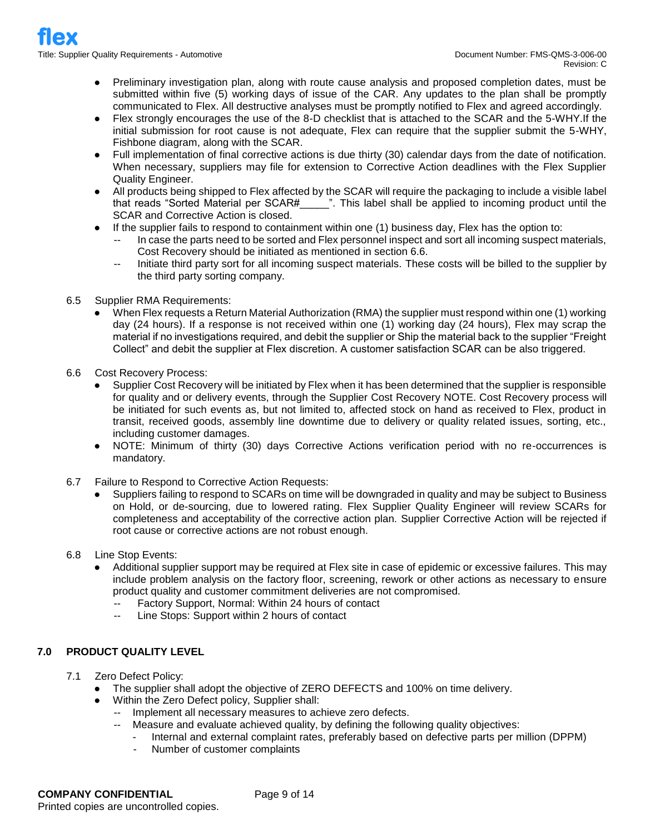- Preliminary investigation plan, along with route cause analysis and proposed completion dates, must be submitted within five (5) working days of issue of the CAR. Any updates to the plan shall be promptly communicated to Flex. All destructive analyses must be promptly notified to Flex and agreed accordingly.
- Flex strongly encourages the use of the 8-D checklist that is attached to the SCAR and the 5-WHY.If the initial submission for root cause is not adequate, Flex can require that the supplier submit the 5-WHY, Fishbone diagram, along with the SCAR.
- Full implementation of final corrective actions is due thirty (30) calendar days from the date of notification. When necessary, suppliers may file for extension to Corrective Action deadlines with the Flex Supplier Quality Engineer.
- All products being shipped to Flex affected by the SCAR will require the packaging to include a visible label that reads "Sorted Material per SCAR# \_\_\_\_\_". This label shall be applied to incoming product until the SCAR and Corrective Action is closed.
- If the supplier fails to respond to containment within one (1) business day, Flex has the option to:
	- In case the parts need to be sorted and Flex personnel inspect and sort all incoming suspect materials, Cost Recovery should be initiated as mentioned in section 6.6.
	- -- Initiate third party sort for all incoming suspect materials. These costs will be billed to the supplier by the third party sorting company.
- 6.5 Supplier RMA Requirements:
	- When Flex requests a Return Material Authorization (RMA) the supplier must respond within one (1) working day (24 hours). If a response is not received within one (1) working day (24 hours), Flex may scrap the material if no investigations required, and debit the supplier or Ship the material back to the supplier "Freight Collect" and debit the supplier at Flex discretion. A customer satisfaction SCAR can be also triggered.
- 6.6 Cost Recovery Process:
	- Supplier Cost Recovery will be initiated by Flex when it has been determined that the supplier is responsible for quality and or delivery events, through the Supplier Cost Recovery NOTE. Cost Recovery process will be initiated for such events as, but not limited to, affected stock on hand as received to Flex, product in transit, received goods, assembly line downtime due to delivery or quality related issues, sorting, etc., including customer damages.
	- NOTE: Minimum of thirty (30) days Corrective Actions verification period with no re-occurrences is mandatory.
- 6.7 Failure to Respond to Corrective Action Requests:
	- Suppliers failing to respond to SCARs on time will be downgraded in quality and may be subject to Business on Hold, or de-sourcing, due to lowered rating. Flex Supplier Quality Engineer will review SCARs for completeness and acceptability of the corrective action plan. Supplier Corrective Action will be rejected if root cause or corrective actions are not robust enough.
- 6.8 Line Stop Events:
	- Additional supplier support may be required at Flex site in case of epidemic or excessive failures. This may include problem analysis on the factory floor, screening, rework or other actions as necessary to ensure product quality and customer commitment deliveries are not compromised.
		- -- Factory Support, Normal: Within 24 hours of contact
		- -- Line Stops: Support within 2 hours of contact

## **7.0 PRODUCT QUALITY LEVEL**

- 7.1 Zero Defect Policy:
	- The supplier shall adopt the objective of ZERO DEFECTS and 100% on time delivery.
	- Within the Zero Defect policy, Supplier shall:
		- -- Implement all necessary measures to achieve zero defects.
		- -- Measure and evaluate achieved quality, by defining the following quality objectives:
			- Internal and external complaint rates, preferably based on defective parts per million (DPPM)
			- Number of customer complaints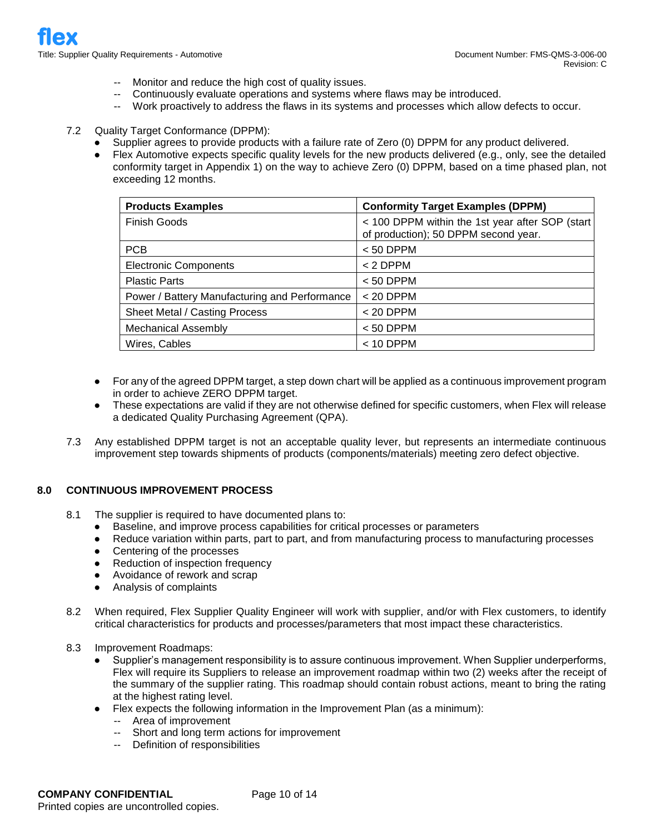- -- Monitor and reduce the high cost of quality issues.
- Continuously evaluate operations and systems where flaws may be introduced.
- -- Work proactively to address the flaws in its systems and processes which allow defects to occur.
- 7.2 Quality Target Conformance (DPPM):
	- Supplier agrees to provide products with a failure rate of Zero (0) DPPM for any product delivered.
	- Flex Automotive expects specific quality levels for the new products delivered (e.g., only, see the detailed conformity target in Appendix 1) on the way to achieve Zero (0) DPPM, based on a time phased plan, not exceeding 12 months.

| <b>Products Examples</b>                      | <b>Conformity Target Examples (DPPM)</b>                                                |  |  |  |  |  |
|-----------------------------------------------|-----------------------------------------------------------------------------------------|--|--|--|--|--|
| <b>Finish Goods</b>                           | < 100 DPPM within the 1st year after SOP (start<br>of production); 50 DPPM second year. |  |  |  |  |  |
| <b>PCB</b>                                    | $< 50$ DPPM                                                                             |  |  |  |  |  |
| <b>Electronic Components</b>                  | $< 2$ DPPM                                                                              |  |  |  |  |  |
| <b>Plastic Parts</b>                          | $< 50$ DPPM                                                                             |  |  |  |  |  |
| Power / Battery Manufacturing and Performance | $< 20$ DPPM                                                                             |  |  |  |  |  |
| Sheet Metal / Casting Process                 | $< 20$ DPPM                                                                             |  |  |  |  |  |
| <b>Mechanical Assembly</b>                    | $< 50$ DPPM                                                                             |  |  |  |  |  |
| Wires, Cables                                 | $<$ 10 DPPM                                                                             |  |  |  |  |  |

- For any of the agreed DPPM target, a step down chart will be applied as a continuous improvement program in order to achieve ZERO DPPM target.
- These expectations are valid if they are not otherwise defined for specific customers, when Flex will release a dedicated Quality Purchasing Agreement (QPA).
- 7.3 Any established DPPM target is not an acceptable quality lever, but represents an intermediate continuous improvement step towards shipments of products (components/materials) meeting zero defect objective.

#### **8.0 CONTINUOUS IMPROVEMENT PROCESS**

- 8.1 The supplier is required to have documented plans to:
	- Baseline, and improve process capabilities for critical processes or parameters
	- Reduce variation within parts, part to part, and from manufacturing process to manufacturing processes
	- Centering of the processes
	- Reduction of inspection frequency
	- Avoidance of rework and scrap
	- Analysis of complaints
- 8.2 When required, Flex Supplier Quality Engineer will work with supplier, and/or with Flex customers, to identify critical characteristics for products and processes/parameters that most impact these characteristics.
- 8.3 Improvement Roadmaps:
	- Supplier's management responsibility is to assure continuous improvement. When Supplier underperforms, Flex will require its Suppliers to release an improvement roadmap within two (2) weeks after the receipt of the summary of the supplier rating. This roadmap should contain robust actions, meant to bring the rating at the highest rating level.
	- Flex expects the following information in the Improvement Plan (as a minimum):
		- -- Area of improvement
		- -- Short and long term actions for improvement
		- -- Definition of responsibilities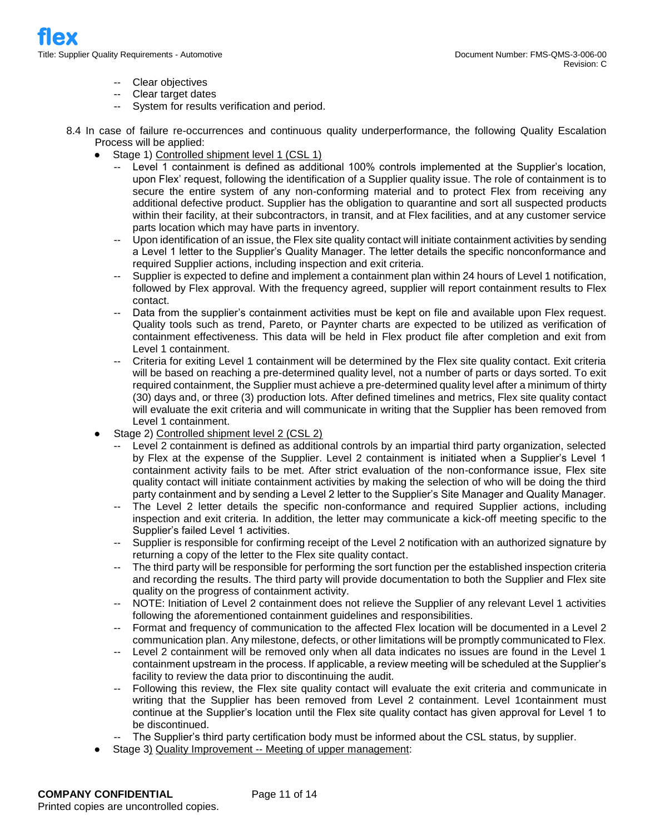- -- Clear objectives
- -- Clear target dates
- -- System for results verification and period.

8.4 In case of failure re-occurrences and continuous quality underperformance, the following Quality Escalation Process will be applied:

- Stage 1) Controlled shipment level 1 (CSL 1)
	- Level 1 containment is defined as additional 100% controls implemented at the Supplier's location, upon Flex' request, following the identification of a Supplier quality issue. The role of containment is to secure the entire system of any non-conforming material and to protect Flex from receiving any additional defective product. Supplier has the obligation to quarantine and sort all suspected products within their facility, at their subcontractors, in transit, and at Flex facilities, and at any customer service parts location which may have parts in inventory.
	- -- Upon identification of an issue, the Flex site quality contact will initiate containment activities by sending a Level 1 letter to the Supplier's Quality Manager. The letter details the specific nonconformance and required Supplier actions, including inspection and exit criteria.
	- Supplier is expected to define and implement a containment plan within 24 hours of Level 1 notification, followed by Flex approval. With the frequency agreed, supplier will report containment results to Flex contact.
	- -- Data from the supplier's containment activities must be kept on file and available upon Flex request. Quality tools such as trend, Pareto, or Paynter charts are expected to be utilized as verification of containment effectiveness. This data will be held in Flex product file after completion and exit from Level 1 containment.
	- Criteria for exiting Level 1 containment will be determined by the Flex site quality contact. Exit criteria will be based on reaching a pre-determined quality level, not a number of parts or days sorted. To exit required containment, the Supplier must achieve a pre-determined quality level after a minimum of thirty (30) days and, or three (3) production lots. After defined timelines and metrics, Flex site quality contact will evaluate the exit criteria and will communicate in writing that the Supplier has been removed from Level 1 containment.
- Stage 2) Controlled shipment level 2 (CSL 2)
	- Level 2 containment is defined as additional controls by an impartial third party organization, selected by Flex at the expense of the Supplier. Level 2 containment is initiated when a Supplier's Level 1 containment activity fails to be met. After strict evaluation of the non-conformance issue, Flex site quality contact will initiate containment activities by making the selection of who will be doing the third party containment and by sending a Level 2 letter to the Supplier's Site Manager and Quality Manager.
	- -- The Level 2 letter details the specific non-conformance and required Supplier actions, including inspection and exit criteria. In addition, the letter may communicate a kick-off meeting specific to the Supplier's failed Level 1 activities.
	- Supplier is responsible for confirming receipt of the Level 2 notification with an authorized signature by returning a copy of the letter to the Flex site quality contact.
	- The third party will be responsible for performing the sort function per the established inspection criteria and recording the results. The third party will provide documentation to both the Supplier and Flex site quality on the progress of containment activity.
	- -- NOTE: Initiation of Level 2 containment does not relieve the Supplier of any relevant Level 1 activities following the aforementioned containment guidelines and responsibilities.
	- -- Format and frequency of communication to the affected Flex location will be documented in a Level 2 communication plan. Any milestone, defects, or other limitations will be promptly communicated to Flex.
	- -- Level 2 containment will be removed only when all data indicates no issues are found in the Level 1 containment upstream in the process. If applicable, a review meeting will be scheduled at the Supplier's facility to review the data prior to discontinuing the audit.
	- Following this review, the Flex site quality contact will evaluate the exit criteria and communicate in writing that the Supplier has been removed from Level 2 containment. Level 1containment must continue at the Supplier's location until the Flex site quality contact has given approval for Level 1 to be discontinued.
	- The Supplier's third party certification body must be informed about the CSL status, by supplier.
- Stage 3) Quality Improvement -- Meeting of upper management: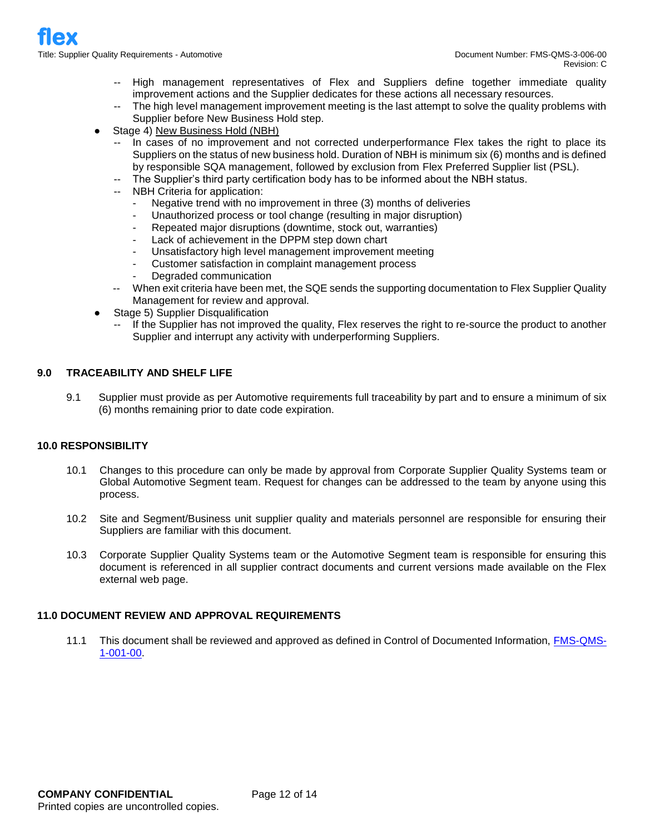- -- High management representatives of Flex and Suppliers define together immediate quality improvement actions and the Supplier dedicates for these actions all necessary resources.
- -- The high level management improvement meeting is the last attempt to solve the quality problems with Supplier before New Business Hold step.
- Stage 4) New Business Hold (NBH)
	- In cases of no improvement and not corrected underperformance Flex takes the right to place its Suppliers on the status of new business hold. Duration of NBH is minimum six (6) months and is defined by responsible SQA management, followed by exclusion from Flex Preferred Supplier list (PSL).
	- -- The Supplier's third party certification body has to be informed about the NBH status.
	- -- NBH Criteria for application:
		- Negative trend with no improvement in three (3) months of deliveries
		- Unauthorized process or tool change (resulting in major disruption)
		- Repeated major disruptions (downtime, stock out, warranties)
		- Lack of achievement in the DPPM step down chart
		- Unsatisfactory high level management improvement meeting
		- Customer satisfaction in complaint management process
		- Degraded communication
	- -- When exit criteria have been met, the SQE sends the supporting documentation to Flex Supplier Quality Management for review and approval.
- Stage 5) Supplier Disqualification
	- -- If the Supplier has not improved the quality, Flex reserves the right to re-source the product to another Supplier and interrupt any activity with underperforming Suppliers.

## **9.0 TRACEABILITY AND SHELF LIFE**

9.1 Supplier must provide as per Automotive requirements full traceability by part and to ensure a minimum of six (6) months remaining prior to date code expiration.

## **10.0 RESPONSIBILITY**

- 10.1 Changes to this procedure can only be made by approval from Corporate Supplier Quality Systems team or Global Automotive Segment team. Request for changes can be addressed to the team by anyone using this process.
- 10.2 Site and Segment/Business unit supplier quality and materials personnel are responsible for ensuring their Suppliers are familiar with this document.
- 10.3 Corporate Supplier Quality Systems team or the Automotive Segment team is responsible for ensuring this document is referenced in all supplier contract documents and current versions made available on the Flex external web page.

#### **11.0 DOCUMENT REVIEW AND APPROVAL REQUIREMENTS**

11.1 This document shall be reviewed and approved as defined in Control of Documented Information, FMS-QMS-1-001-00.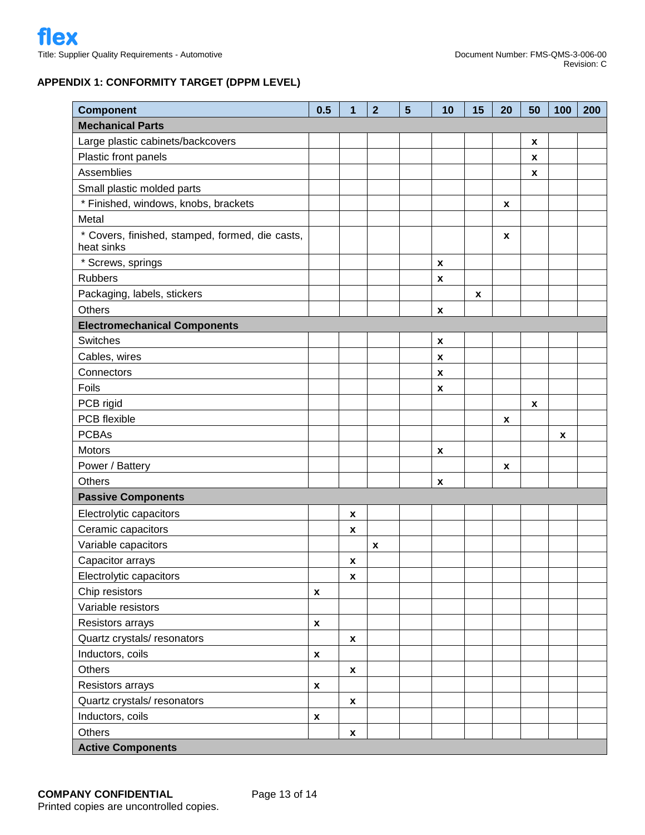# **APPENDIX 1: CONFORMITY TARGET (DPPM LEVEL)**

| <b>Component</b>                                              | 0.5                | 1                  | $\overline{2}$ | $5\phantom{1}$ | 10                        | 15 | 20 | 50 | 100 | 200 |
|---------------------------------------------------------------|--------------------|--------------------|----------------|----------------|---------------------------|----|----|----|-----|-----|
| <b>Mechanical Parts</b>                                       |                    |                    |                |                |                           |    |    |    |     |     |
| Large plastic cabinets/backcovers                             |                    |                    |                |                |                           |    |    | X  |     |     |
| Plastic front panels                                          |                    |                    |                |                |                           |    |    | X  |     |     |
| Assemblies                                                    |                    |                    |                |                |                           |    |    | X  |     |     |
| Small plastic molded parts                                    |                    |                    |                |                |                           |    |    |    |     |     |
| * Finished, windows, knobs, brackets                          |                    |                    |                |                |                           |    | X  |    |     |     |
| Metal                                                         |                    |                    |                |                |                           |    |    |    |     |     |
| * Covers, finished, stamped, formed, die casts,<br>heat sinks |                    |                    |                |                |                           |    | X  |    |     |     |
| * Screws, springs                                             |                    |                    |                |                | $\pmb{\chi}$              |    |    |    |     |     |
| <b>Rubbers</b>                                                |                    |                    |                |                | $\boldsymbol{x}$          |    |    |    |     |     |
| Packaging, labels, stickers                                   |                    |                    |                |                |                           | X  |    |    |     |     |
| <b>Others</b>                                                 |                    |                    |                |                | X                         |    |    |    |     |     |
| <b>Electromechanical Components</b>                           |                    |                    |                |                |                           |    |    |    |     |     |
| Switches                                                      |                    |                    |                |                | $\pmb{\mathsf{x}}$        |    |    |    |     |     |
| Cables, wires                                                 |                    |                    |                |                | $\boldsymbol{\mathsf{x}}$ |    |    |    |     |     |
| Connectors                                                    |                    |                    |                |                | $\boldsymbol{\mathsf{x}}$ |    |    |    |     |     |
| Foils                                                         |                    |                    |                |                | $\boldsymbol{x}$          |    |    |    |     |     |
| PCB rigid                                                     |                    |                    |                |                |                           |    |    | X  |     |     |
| PCB flexible                                                  |                    |                    |                |                |                           |    | X  |    |     |     |
| <b>PCBAs</b>                                                  |                    |                    |                |                |                           |    |    |    | X   |     |
| <b>Motors</b>                                                 |                    |                    |                |                | X                         |    |    |    |     |     |
| Power / Battery                                               |                    |                    |                |                |                           |    | X  |    |     |     |
| <b>Others</b>                                                 |                    |                    |                |                | $\boldsymbol{x}$          |    |    |    |     |     |
| <b>Passive Components</b>                                     |                    |                    |                |                |                           |    |    |    |     |     |
| Electrolytic capacitors                                       |                    | X                  |                |                |                           |    |    |    |     |     |
| Ceramic capacitors                                            |                    | X                  |                |                |                           |    |    |    |     |     |
| Variable capacitors                                           |                    |                    | X              |                |                           |    |    |    |     |     |
| Capacitor arrays                                              |                    | x                  |                |                |                           |    |    |    |     |     |
| Electrolytic capacitors                                       |                    | $\pmb{\chi}$       |                |                |                           |    |    |    |     |     |
| Chip resistors                                                | $\pmb{\mathsf{x}}$ |                    |                |                |                           |    |    |    |     |     |
| Variable resistors                                            |                    |                    |                |                |                           |    |    |    |     |     |
| Resistors arrays                                              | $\pmb{\chi}$       |                    |                |                |                           |    |    |    |     |     |
| Quartz crystals/resonators                                    |                    | $\boldsymbol{x}$   |                |                |                           |    |    |    |     |     |
| Inductors, coils                                              | $\pmb{\mathsf{x}}$ |                    |                |                |                           |    |    |    |     |     |
| Others                                                        |                    | $\boldsymbol{x}$   |                |                |                           |    |    |    |     |     |
| Resistors arrays                                              | $\pmb{\mathsf{x}}$ |                    |                |                |                           |    |    |    |     |     |
| Quartz crystals/resonators                                    |                    | $\boldsymbol{x}$   |                |                |                           |    |    |    |     |     |
| Inductors, coils                                              | $\pmb{\mathsf{x}}$ |                    |                |                |                           |    |    |    |     |     |
| <b>Others</b>                                                 |                    | $\pmb{\mathsf{x}}$ |                |                |                           |    |    |    |     |     |
| <b>Active Components</b>                                      |                    |                    |                |                |                           |    |    |    |     |     |